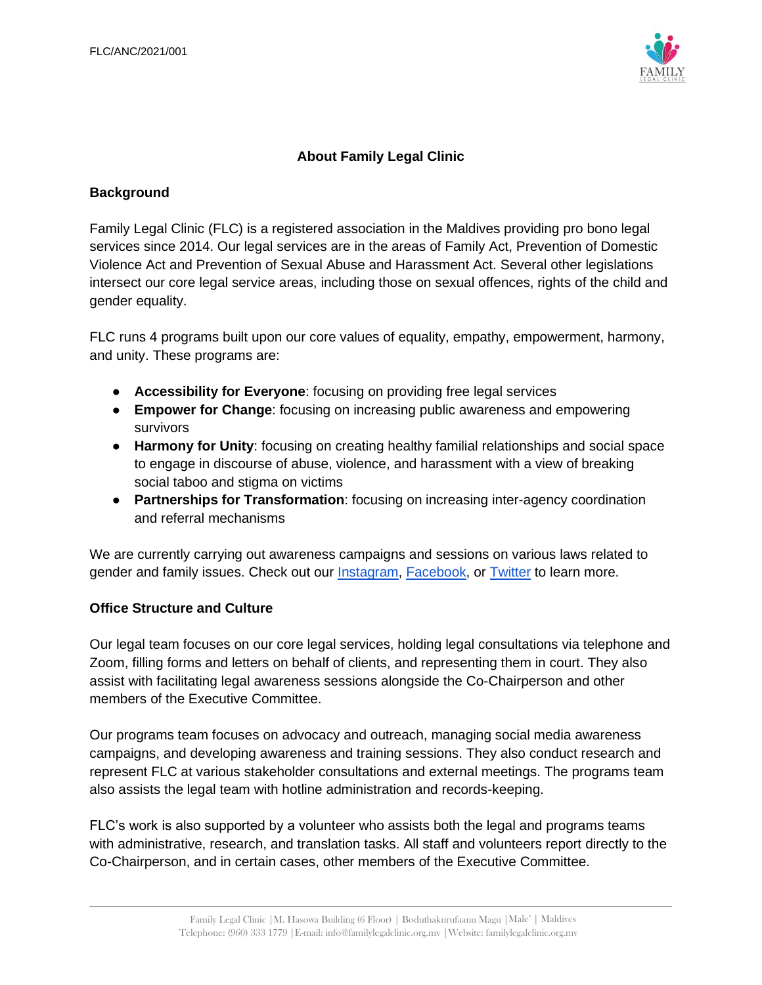

# **About Family Legal Clinic**

#### **Background**

Family Legal Clinic (FLC) is a registered association in the Maldives providing pro bono legal services since 2014. Our legal services are in the areas of Family Act, Prevention of Domestic Violence Act and Prevention of Sexual Abuse and Harassment Act. Several other legislations intersect our core legal service areas, including those on sexual offences, rights of the child and gender equality.

FLC runs 4 programs built upon our core values of equality, empathy, empowerment, harmony, and unity. These programs are:

- **Accessibility for Everyone**: focusing on providing free legal services
- **Empower for Change**: focusing on increasing public awareness and empowering survivors
- **Harmony for Unity**: focusing on creating healthy familial relationships and social space to engage in discourse of abuse, violence, and harassment with a view of breaking social taboo and stigma on victims
- **Partnerships for Transformation**: focusing on increasing inter-agency coordination and referral mechanisms

We are currently carrying out awareness campaigns and sessions on various laws related to gender and family issues. Check out our [Instagram,](https://www.instagram.com/flc.mv/) [Facebook,](http://www.facebook.com/FLCmv) or [Twitter](https://twitter.com/flcmv) to learn more.

#### **Office Structure and Culture**

Our legal team focuses on our core legal services, holding legal consultations via telephone and Zoom, filling forms and letters on behalf of clients, and representing them in court. They also assist with facilitating legal awareness sessions alongside the Co-Chairperson and other members of the Executive Committee.

Our programs team focuses on advocacy and outreach, managing social media awareness campaigns, and developing awareness and training sessions. They also conduct research and represent FLC at various stakeholder consultations and external meetings. The programs team also assists the legal team with hotline administration and records-keeping.

FLC's work is also supported by a volunteer who assists both the legal and programs teams with administrative, research, and translation tasks. All staff and volunteers report directly to the Co-Chairperson, and in certain cases, other members of the Executive Committee.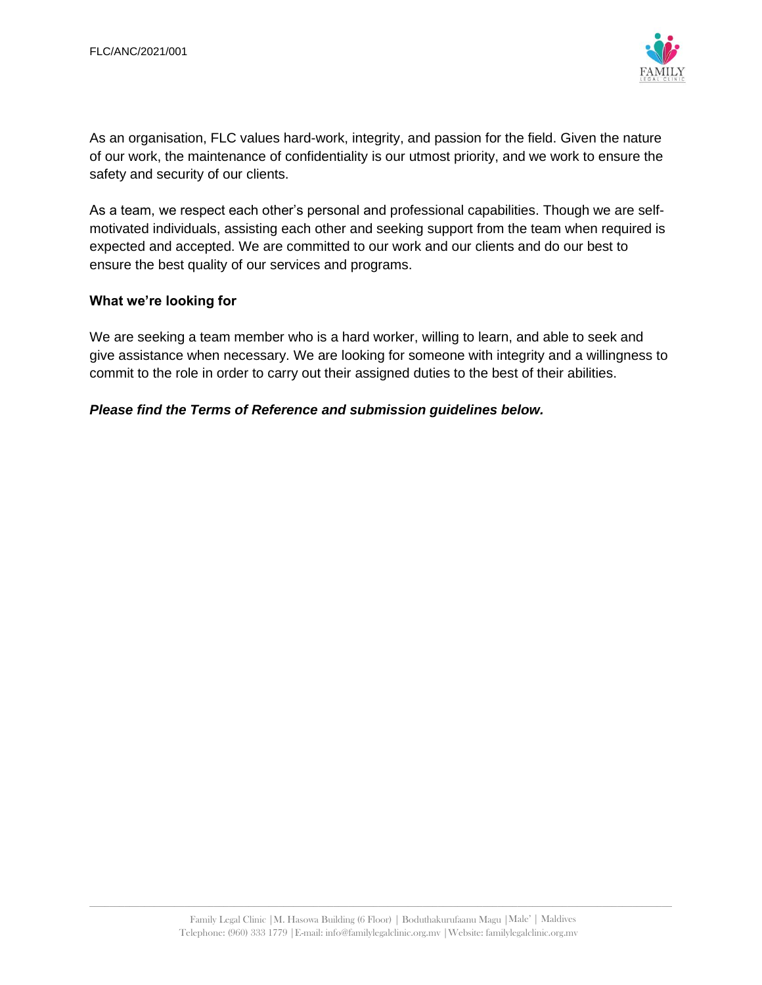

As an organisation, FLC values hard-work, integrity, and passion for the field. Given the nature of our work, the maintenance of confidentiality is our utmost priority, and we work to ensure the safety and security of our clients.

As a team, we respect each other's personal and professional capabilities. Though we are selfmotivated individuals, assisting each other and seeking support from the team when required is expected and accepted. We are committed to our work and our clients and do our best to ensure the best quality of our services and programs.

#### **What we're looking for**

We are seeking a team member who is a hard worker, willing to learn, and able to seek and give assistance when necessary. We are looking for someone with integrity and a willingness to commit to the role in order to carry out their assigned duties to the best of their abilities.

### *Please find the Terms of Reference and submission guidelines below.*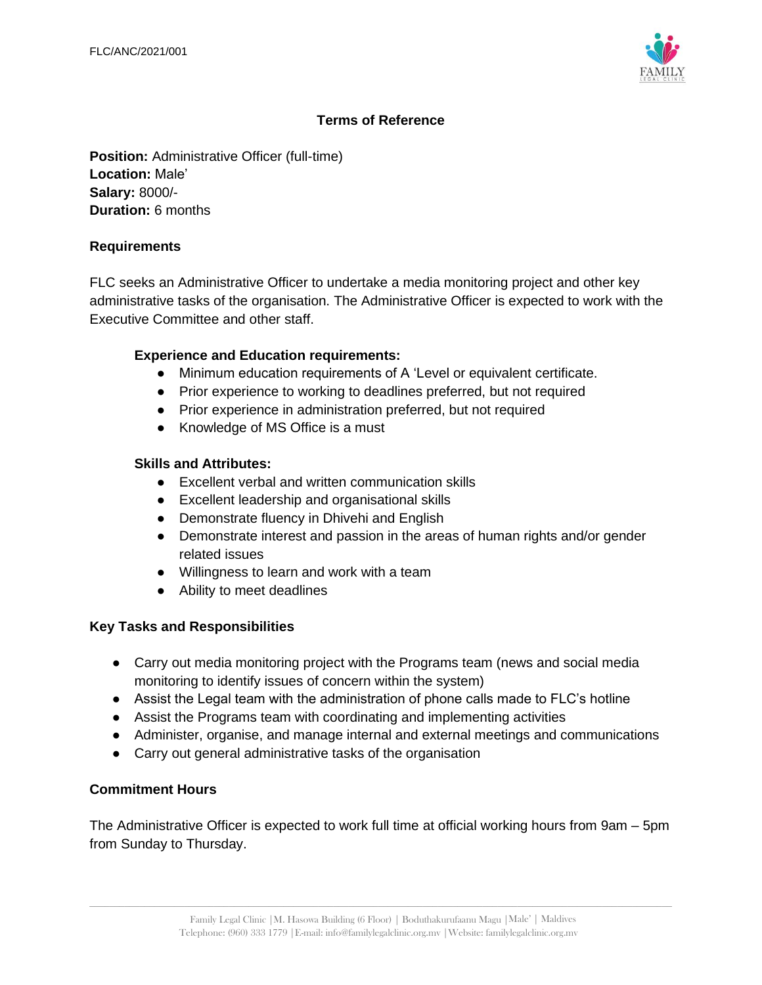

### **Terms of Reference**

**Position:** Administrative Officer (full-time) **Location:** Male' **Salary:** 8000/- **Duration:** 6 months

#### **Requirements**

FLC seeks an Administrative Officer to undertake a media monitoring project and other key administrative tasks of the organisation. The Administrative Officer is expected to work with the Executive Committee and other staff.

### **Experience and Education requirements:**

- Minimum education requirements of A 'Level or equivalent certificate.
- Prior experience to working to deadlines preferred, but not required
- Prior experience in administration preferred, but not required
- Knowledge of MS Office is a must

#### **Skills and Attributes:**

- Excellent verbal and written communication skills
- Excellent leadership and organisational skills
- Demonstrate fluency in Dhivehi and English
- Demonstrate interest and passion in the areas of human rights and/or gender related issues
- Willingness to learn and work with a team
- Ability to meet deadlines

#### **Key Tasks and Responsibilities**

- Carry out media monitoring project with the Programs team (news and social media monitoring to identify issues of concern within the system)
- Assist the Legal team with the administration of phone calls made to FLC's hotline
- Assist the Programs team with coordinating and implementing activities
- Administer, organise, and manage internal and external meetings and communications
- Carry out general administrative tasks of the organisation

#### **Commitment Hours**

The Administrative Officer is expected to work full time at official working hours from 9am – 5pm from Sunday to Thursday.